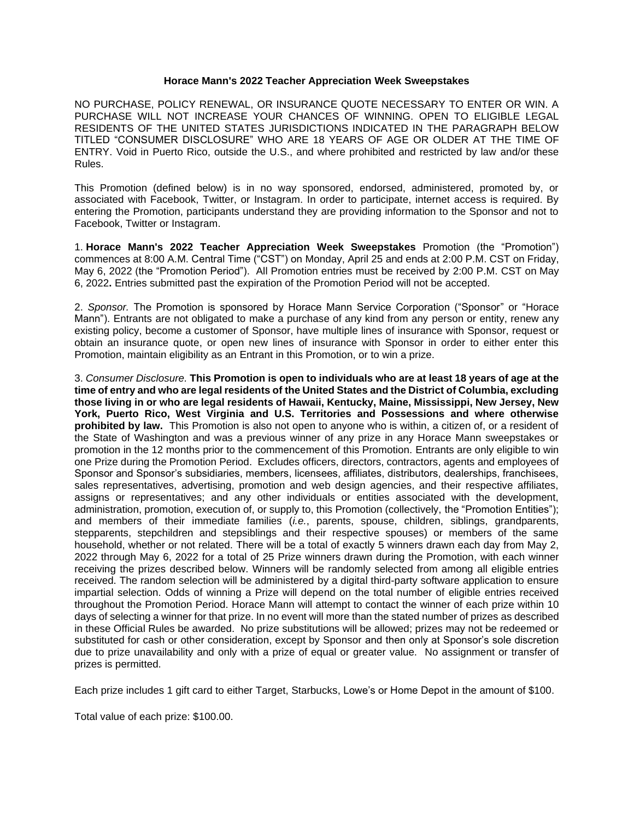## **Horace Mann's 2022 Teacher Appreciation Week Sweepstakes**

NO PURCHASE, POLICY RENEWAL, OR INSURANCE QUOTE NECESSARY TO ENTER OR WIN. A PURCHASE WILL NOT INCREASE YOUR CHANCES OF WINNING. OPEN TO ELIGIBLE LEGAL RESIDENTS OF THE UNITED STATES JURISDICTIONS INDICATED IN THE PARAGRAPH BELOW TITLED "CONSUMER DISCLOSURE" WHO ARE 18 YEARS OF AGE OR OLDER AT THE TIME OF ENTRY. Void in Puerto Rico, outside the U.S., and where prohibited and restricted by law and/or these Rules.

This Promotion (defined below) is in no way sponsored, endorsed, administered, promoted by, or associated with Facebook, Twitter, or Instagram. In order to participate, internet access is required. By entering the Promotion, participants understand they are providing information to the Sponsor and not to Facebook, Twitter or Instagram.

1. **Horace Mann's 2022 Teacher Appreciation Week Sweepstakes** Promotion (the "Promotion") commences at 8:00 A.M. Central Time ("CST") on Monday, April 25 and ends at 2:00 P.M. CST on Friday, May 6, 2022 (the "Promotion Period"). All Promotion entries must be received by 2:00 P.M. CST on May 6, 2022**.** Entries submitted past the expiration of the Promotion Period will not be accepted.

2. *Sponsor.* The Promotion is sponsored by Horace Mann Service Corporation ("Sponsor" or "Horace Mann"). Entrants are not obligated to make a purchase of any kind from any person or entity, renew any existing policy, become a customer of Sponsor, have multiple lines of insurance with Sponsor, request or obtain an insurance quote, or open new lines of insurance with Sponsor in order to either enter this Promotion, maintain eligibility as an Entrant in this Promotion, or to win a prize.

3. *Consumer Disclosure.* **This Promotion is open to individuals who are at least 18 years of age at the time of entry and who are legal residents of the United States and the District of Columbia, excluding those living in or who are legal residents of Hawaii, Kentucky, Maine, Mississippi, New Jersey, New York, Puerto Rico, West Virginia and U.S. Territories and Possessions and where otherwise prohibited by law.** This Promotion is also not open to anyone who is within, a citizen of, or a resident of the State of Washington and was a previous winner of any prize in any Horace Mann sweepstakes or promotion in the 12 months prior to the commencement of this Promotion. Entrants are only eligible to win one Prize during the Promotion Period. Excludes officers, directors, contractors, agents and employees of Sponsor and Sponsor's subsidiaries, members, licensees, affiliates, distributors, dealerships, franchisees, sales representatives, advertising, promotion and web design agencies, and their respective affiliates, assigns or representatives; and any other individuals or entities associated with the development, administration, promotion, execution of, or supply to, this Promotion (collectively, the "Promotion Entities"); and members of their immediate families (*i.e.*, parents, spouse, children, siblings, grandparents, stepparents, stepchildren and stepsiblings and their respective spouses) or members of the same household, whether or not related. There will be a total of exactly 5 winners drawn each day from May 2, 2022 through May 6, 2022 for a total of 25 Prize winners drawn during the Promotion, with each winner receiving the prizes described below. Winners will be randomly selected from among all eligible entries received. The random selection will be administered by a digital third-party software application to ensure impartial selection. Odds of winning a Prize will depend on the total number of eligible entries received throughout the Promotion Period. Horace Mann will attempt to contact the winner of each prize within 10 days of selecting a winner for that prize. In no event will more than the stated number of prizes as described in these Official Rules be awarded. No prize substitutions will be allowed; prizes may not be redeemed or substituted for cash or other consideration, except by Sponsor and then only at Sponsor's sole discretion due to prize unavailability and only with a prize of equal or greater value. No assignment or transfer of prizes is permitted.

Each prize includes 1 gift card to either Target, Starbucks, Lowe's or Home Depot in the amount of \$100.

Total value of each prize: \$100.00.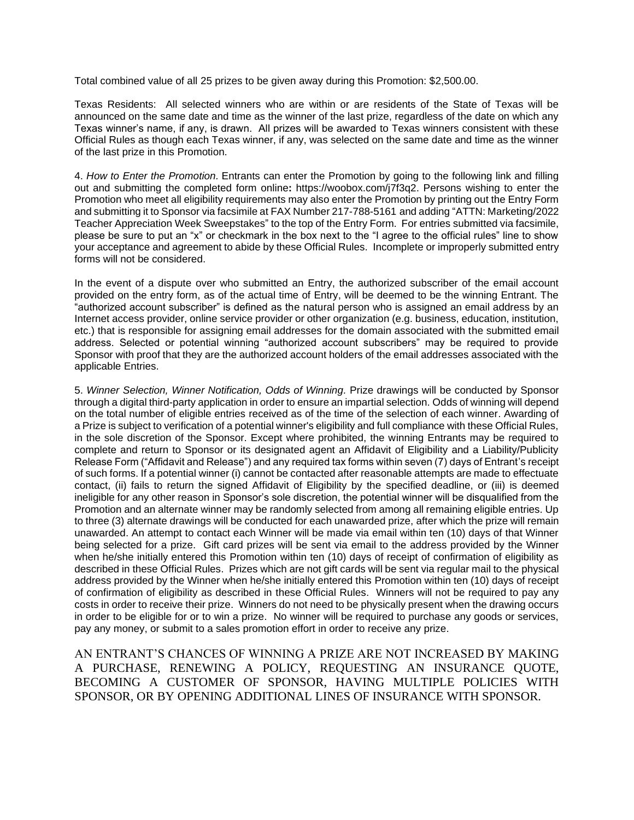Total combined value of all 25 prizes to be given away during this Promotion: \$2,500.00.

Texas Residents: All selected winners who are within or are residents of the State of Texas will be announced on the same date and time as the winner of the last prize, regardless of the date on which any Texas winner's name, if any, is drawn. All prizes will be awarded to Texas winners consistent with these Official Rules as though each Texas winner, if any, was selected on the same date and time as the winner of the last prize in this Promotion.

4. *How to Enter the Promotion.* Entrants can enter the Promotion by going to the following link and filling out and submitting the completed form online**:** [https://woobox.com/j7f3q2.](https://woobox.com/j7f3q2) Persons wishing to enter the Promotion who meet all eligibility requirements may also enter the Promotion by printing out the Entry Form and submitting it to Sponsor via facsimile at FAX Number 217-788-5161 and adding "ATTN: Marketing/2022 Teacher Appreciation Week Sweepstakes" to the top of the Entry Form. For entries submitted via facsimile, please be sure to put an "x" or checkmark in the box next to the "I agree to the official rules" line to show your acceptance and agreement to abide by these Official Rules. Incomplete or improperly submitted entry forms will not be considered.

In the event of a dispute over who submitted an Entry, the authorized subscriber of the email account provided on the entry form, as of the actual time of Entry, will be deemed to be the winning Entrant. The "authorized account subscriber" is defined as the natural person who is assigned an email address by an Internet access provider, online service provider or other organization (e.g. business, education, institution, etc.) that is responsible for assigning email addresses for the domain associated with the submitted email address. Selected or potential winning "authorized account subscribers" may be required to provide Sponsor with proof that they are the authorized account holders of the email addresses associated with the applicable Entries.

5. *Winner Selection, Winner Notification, Odds of Winning.* Prize drawings will be conducted by Sponsor through a digital third-party application in order to ensure an impartial selection. Odds of winning will depend on the total number of eligible entries received as of the time of the selection of each winner. Awarding of a Prize is subject to verification of a potential winner's eligibility and full compliance with these Official Rules, in the sole discretion of the Sponsor. Except where prohibited, the winning Entrants may be required to complete and return to Sponsor or its designated agent an Affidavit of Eligibility and a Liability/Publicity Release Form ("Affidavit and Release") and any required tax forms within seven (7) days of Entrant's receipt of such forms. If a potential winner (i) cannot be contacted after reasonable attempts are made to effectuate contact, (ii) fails to return the signed Affidavit of Eligibility by the specified deadline, or (iii) is deemed ineligible for any other reason in Sponsor's sole discretion, the potential winner will be disqualified from the Promotion and an alternate winner may be randomly selected from among all remaining eligible entries. Up to three (3) alternate drawings will be conducted for each unawarded prize, after which the prize will remain unawarded. An attempt to contact each Winner will be made via email within ten (10) days of that Winner being selected for a prize. Gift card prizes will be sent via email to the address provided by the Winner when he/she initially entered this Promotion within ten (10) days of receipt of confirmation of eligibility as described in these Official Rules. Prizes which are not gift cards will be sent via regular mail to the physical address provided by the Winner when he/she initially entered this Promotion within ten (10) days of receipt of confirmation of eligibility as described in these Official Rules. Winners will not be required to pay any costs in order to receive their prize. Winners do not need to be physically present when the drawing occurs in order to be eligible for or to win a prize. No winner will be required to purchase any goods or services, pay any money, or submit to a sales promotion effort in order to receive any prize.

AN ENTRANT'S CHANCES OF WINNING A PRIZE ARE NOT INCREASED BY MAKING A PURCHASE, RENEWING A POLICY, REQUESTING AN INSURANCE QUOTE, BECOMING A CUSTOMER OF SPONSOR, HAVING MULTIPLE POLICIES WITH SPONSOR, OR BY OPENING ADDITIONAL LINES OF INSURANCE WITH SPONSOR.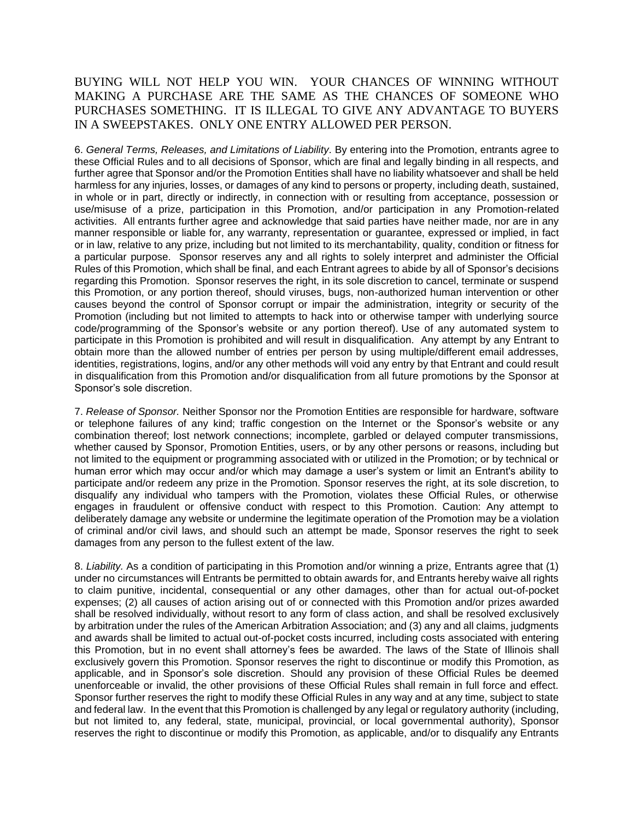## BUYING WILL NOT HELP YOU WIN. YOUR CHANCES OF WINNING WITHOUT MAKING A PURCHASE ARE THE SAME AS THE CHANCES OF SOMEONE WHO PURCHASES SOMETHING. IT IS ILLEGAL TO GIVE ANY ADVANTAGE TO BUYERS IN A SWEEPSTAKES. ONLY ONE ENTRY ALLOWED PER PERSON.

6. *General Terms, Releases, and Limitations of Liability.* By entering into the Promotion, entrants agree to these Official Rules and to all decisions of Sponsor, which are final and legally binding in all respects, and further agree that Sponsor and/or the Promotion Entities shall have no liability whatsoever and shall be held harmless for any injuries, losses, or damages of any kind to persons or property, including death, sustained, in whole or in part, directly or indirectly, in connection with or resulting from acceptance, possession or use/misuse of a prize, participation in this Promotion, and/or participation in any Promotion-related activities. All entrants further agree and acknowledge that said parties have neither made, nor are in any manner responsible or liable for, any warranty, representation or guarantee, expressed or implied, in fact or in law, relative to any prize, including but not limited to its merchantability, quality, condition or fitness for a particular purpose. Sponsor reserves any and all rights to solely interpret and administer the Official Rules of this Promotion, which shall be final, and each Entrant agrees to abide by all of Sponsor's decisions regarding this Promotion. Sponsor reserves the right, in its sole discretion to cancel, terminate or suspend this Promotion, or any portion thereof, should viruses, bugs, non-authorized human intervention or other causes beyond the control of Sponsor corrupt or impair the administration, integrity or security of the Promotion (including but not limited to attempts to hack into or otherwise tamper with underlying source code/programming of the Sponsor's website or any portion thereof). Use of any automated system to participate in this Promotion is prohibited and will result in disqualification. Any attempt by any Entrant to obtain more than the allowed number of entries per person by using multiple/different email addresses, identities, registrations, logins, and/or any other methods will void any entry by that Entrant and could result in disqualification from this Promotion and/or disqualification from all future promotions by the Sponsor at Sponsor's sole discretion.

7. *Release of Sponsor.* Neither Sponsor nor the Promotion Entities are responsible for hardware, software or telephone failures of any kind; traffic congestion on the Internet or the Sponsor's website or any combination thereof; lost network connections; incomplete, garbled or delayed computer transmissions, whether caused by Sponsor, Promotion Entities, users, or by any other persons or reasons, including but not limited to the equipment or programming associated with or utilized in the Promotion; or by technical or human error which may occur and/or which may damage a user's system or limit an Entrant's ability to participate and/or redeem any prize in the Promotion. Sponsor reserves the right, at its sole discretion, to disqualify any individual who tampers with the Promotion, violates these Official Rules, or otherwise engages in fraudulent or offensive conduct with respect to this Promotion. Caution: Any attempt to deliberately damage any website or undermine the legitimate operation of the Promotion may be a violation of criminal and/or civil laws, and should such an attempt be made, Sponsor reserves the right to seek damages from any person to the fullest extent of the law.

8. *Liability.* As a condition of participating in this Promotion and/or winning a prize, Entrants agree that (1) under no circumstances will Entrants be permitted to obtain awards for, and Entrants hereby waive all rights to claim punitive, incidental, consequential or any other damages, other than for actual out-of-pocket expenses; (2) all causes of action arising out of or connected with this Promotion and/or prizes awarded shall be resolved individually, without resort to any form of class action, and shall be resolved exclusively by arbitration under the rules of the American Arbitration Association; and (3) any and all claims, judgments and awards shall be limited to actual out-of-pocket costs incurred, including costs associated with entering this Promotion, but in no event shall attorney's fees be awarded. The laws of the State of Illinois shall exclusively govern this Promotion. Sponsor reserves the right to discontinue or modify this Promotion, as applicable, and in Sponsor's sole discretion. Should any provision of these Official Rules be deemed unenforceable or invalid, the other provisions of these Official Rules shall remain in full force and effect. Sponsor further reserves the right to modify these Official Rules in any way and at any time, subject to state and federal law. In the event that this Promotion is challenged by any legal or regulatory authority (including, but not limited to, any federal, state, municipal, provincial, or local governmental authority), Sponsor reserves the right to discontinue or modify this Promotion, as applicable, and/or to disqualify any Entrants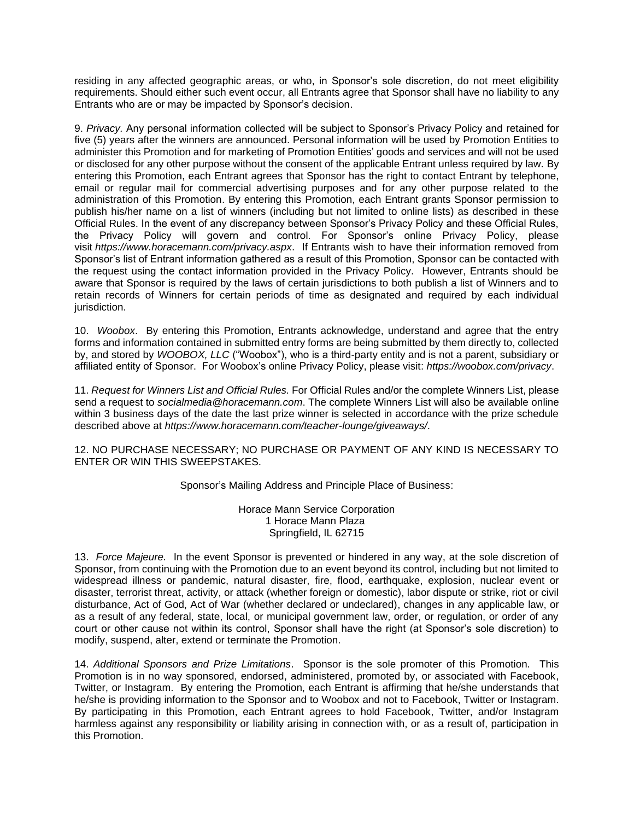residing in any affected geographic areas, or who, in Sponsor's sole discretion, do not meet eligibility requirements. Should either such event occur, all Entrants agree that Sponsor shall have no liability to any Entrants who are or may be impacted by Sponsor's decision.

9. *Privacy.* Any personal information collected will be subject to Sponsor's Privacy Policy and retained for five (5) years after the winners are announced. Personal information will be used by Promotion Entities to administer this Promotion and for marketing of Promotion Entities' goods and services and will not be used or disclosed for any other purpose without the consent of the applicable Entrant unless required by law. By entering this Promotion, each Entrant agrees that Sponsor has the right to contact Entrant by telephone, email or regular mail for commercial advertising purposes and for any other purpose related to the administration of this Promotion. By entering this Promotion, each Entrant grants Sponsor permission to publish his/her name on a list of winners (including but not limited to online lists) as described in these Official Rules. In the event of any discrepancy between Sponsor's Privacy Policy and these Official Rules, the Privacy Policy will govern and control. For Sponsor's online Privacy Policy, please visit *<https://www.horacemann.com/privacy.aspx>*. If Entrants wish to have their information removed from Sponsor's list of Entrant information gathered as a result of this Promotion, Sponsor can be contacted with the request using the contact information provided in the Privacy Policy. However, Entrants should be aware that Sponsor is required by the laws of certain jurisdictions to both publish a list of Winners and to retain records of Winners for certain periods of time as designated and required by each individual jurisdiction.

10. *Woobox*. By entering this Promotion, Entrants acknowledge, understand and agree that the entry forms and information contained in submitted entry forms are being submitted by them directly to, collected by, and stored by *WOOBOX, LLC* ("Woobox"), who is a third-party entity and is not a parent, subsidiary or affiliated entity of Sponsor. For Woobox's online Privacy Policy, please visit: *https://woobox.com/privacy*.

11. *Request for Winners List and Official Rules.* For Official Rules and/or the complete Winners List, please send a request to *[socialmedia@horacemann.com](mailto:socialmedia@horacemann.com)*. The complete Winners List will also be available online within 3 business days of the date the last prize winner is selected in accordance with the prize schedule described above at *<https://www.horacemann.com/teacher-lounge/giveaways/>*.

12. NO PURCHASE NECESSARY; NO PURCHASE OR PAYMENT OF ANY KIND IS NECESSARY TO ENTER OR WIN THIS SWEEPSTAKES.

Sponsor's Mailing Address and Principle Place of Business:

Horace Mann Service Corporation 1 Horace Mann Plaza Springfield, IL 62715

13. *Force Majeure.* In the event Sponsor is prevented or hindered in any way, at the sole discretion of Sponsor, from continuing with the Promotion due to an event beyond its control, including but not limited to widespread illness or pandemic, natural disaster, fire, flood, earthquake, explosion, nuclear event or disaster, terrorist threat, activity, or attack (whether foreign or domestic), labor dispute or strike, riot or civil disturbance, Act of God, Act of War (whether declared or undeclared), changes in any applicable law, or as a result of any federal, state, local, or municipal government law, order, or regulation, or order of any court or other cause not within its control, Sponsor shall have the right (at Sponsor's sole discretion) to modify, suspend, alter, extend or terminate the Promotion.

14. *Additional Sponsors and Prize Limitations*. Sponsor is the sole promoter of this Promotion. This Promotion is in no way sponsored, endorsed, administered, promoted by, or associated with Facebook, Twitter, or Instagram. By entering the Promotion, each Entrant is affirming that he/she understands that he/she is providing information to the Sponsor and to Woobox and not to Facebook, Twitter or Instagram. By participating in this Promotion, each Entrant agrees to hold Facebook, Twitter, and/or Instagram harmless against any responsibility or liability arising in connection with, or as a result of, participation in this Promotion.